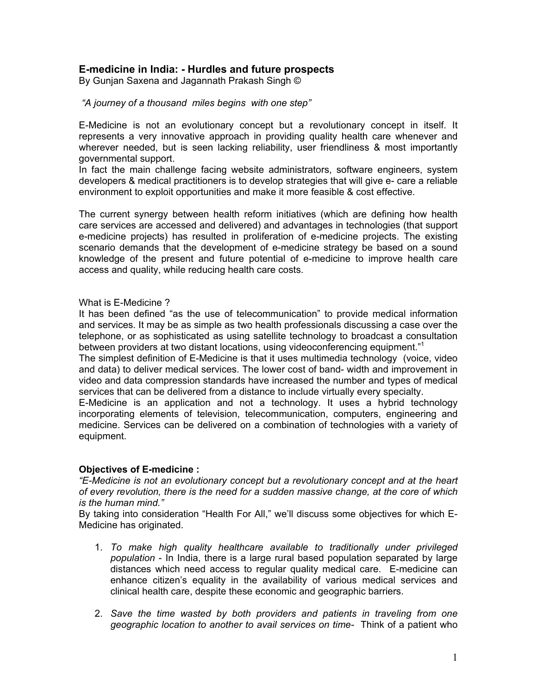# **E-medicine in India: - Hurdles and future prospects**

By Gunjan Saxena and Jagannath Prakash Singh ©

### *"A journey of a thousand miles begins with one step"*

E-Medicine is not an evolutionary concept but a revolutionary concept in itself. It represents a very innovative approach in providing quality health care whenever and wherever needed, but is seen lacking reliability, user friendliness & most importantly governmental support.

In fact the main challenge facing website administrators, software engineers, system developers & medical practitioners is to develop strategies that will give e- care a reliable environment to exploit opportunities and make it more feasible & cost effective.

The current synergy between health reform initiatives (which are defining how health care services are accessed and delivered) and advantages in technologies (that support e-medicine projects) has resulted in proliferation of e-medicine projects. The existing scenario demands that the development of e-medicine strategy be based on a sound knowledge of the present and future potential of e-medicine to improve health care access and quality, while reducing health care costs.

### What is E-Medicine ?

It has been defined "as the use of telecommunication" to provide medical information and services. It may be as simple as two health professionals discussing a case over the telephone, or as sophisticated as using satellite technology to broadcast a consultation between providers at two distant locations, using videoconferencing equipment."<sup>1</sup>

The simplest definition of E-Medicine is that it uses multimedia technology (voice, video and data) to deliver medical services. The lower cost of band- width and improvement in video and data compression standards have increased the number and types of medical services that can be delivered from a distance to include virtually every specialty.

E-Medicine is an application and not a technology. It uses a hybrid technology incorporating elements of television, telecommunication, computers, engineering and medicine. Services can be delivered on a combination of technologies with a variety of equipment.

## **Objectives of E-medicine :**

*"E-Medicine is not an evolutionary concept but a revolutionary concept and at the heart of every revolution, there is the need for a sudden massive change, at the core of which is the human mind."*

By taking into consideration "Health For All," we'll discuss some objectives for which E-Medicine has originated.

- 1. *To make high quality healthcare available to traditionally under privileged population* - In India, there is a large rural based population separated by large distances which need access to regular quality medical care. E-medicine can enhance citizen's equality in the availability of various medical services and clinical health care, despite these economic and geographic barriers.
- 2. *Save the time wasted by both providers and patients in traveling from one geographic location to another to avail services on time-* Think of a patient who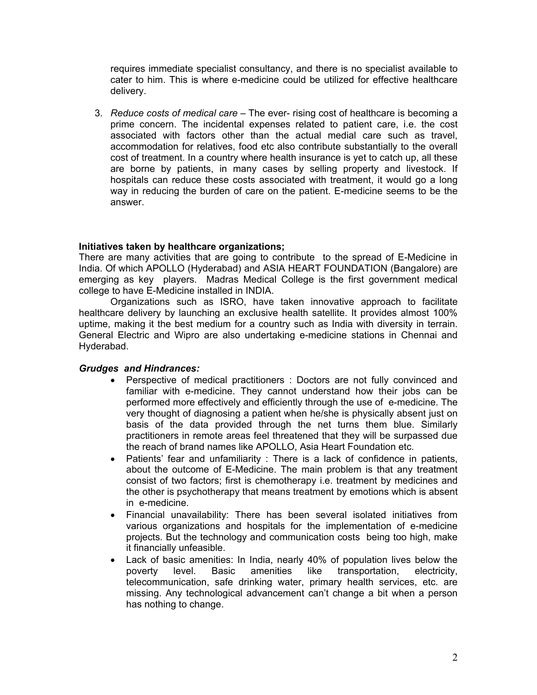requires immediate specialist consultancy, and there is no specialist available to cater to him. This is where e-medicine could be utilized for effective healthcare delivery.

3. *Reduce costs of medical care* – The ever- rising cost of healthcare is becoming a prime concern. The incidental expenses related to patient care, i.e. the cost associated with factors other than the actual medial care such as travel, accommodation for relatives, food etc also contribute substantially to the overall cost of treatment. In a country where health insurance is yet to catch up, all these are borne by patients, in many cases by selling property and livestock. If hospitals can reduce these costs associated with treatment, it would go a long way in reducing the burden of care on the patient. E-medicine seems to be the answer.

## **Initiatives taken by healthcare organizations;**

There are many activities that are going to contribute to the spread of E-Medicine in India. Of which APOLLO (Hyderabad) and ASIA HEART FOUNDATION (Bangalore) are emerging as key players. Madras Medical College is the first government medical college to have E-Medicine installed in INDIA.

Organizations such as ISRO, have taken innovative approach to facilitate healthcare delivery by launching an exclusive health satellite. It provides almost 100% uptime, making it the best medium for a country such as India with diversity in terrain. General Electric and Wipro are also undertaking e-medicine stations in Chennai and Hyderabad.

## *Grudges and Hindrances:*

- Perspective of medical practitioners : Doctors are not fully convinced and familiar with e-medicine. They cannot understand how their jobs can be performed more effectively and efficiently through the use of e-medicine. The very thought of diagnosing a patient when he/she is physically absent just on basis of the data provided through the net turns them blue. Similarly practitioners in remote areas feel threatened that they will be surpassed due the reach of brand names like APOLLO, Asia Heart Foundation etc.
- Patients' fear and unfamiliarity : There is a lack of confidence in patients, about the outcome of E-Medicine. The main problem is that any treatment consist of two factors; first is chemotherapy i.e. treatment by medicines and the other is psychotherapy that means treatment by emotions which is absent in e-medicine.
- Financial unavailability: There has been several isolated initiatives from various organizations and hospitals for the implementation of e-medicine projects. But the technology and communication costs being too high, make it financially unfeasible.
- Lack of basic amenities: In India, nearly 40% of population lives below the poverty level. Basic amenities like transportation, electricity, telecommunication, safe drinking water, primary health services, etc. are missing. Any technological advancement can't change a bit when a person has nothing to change.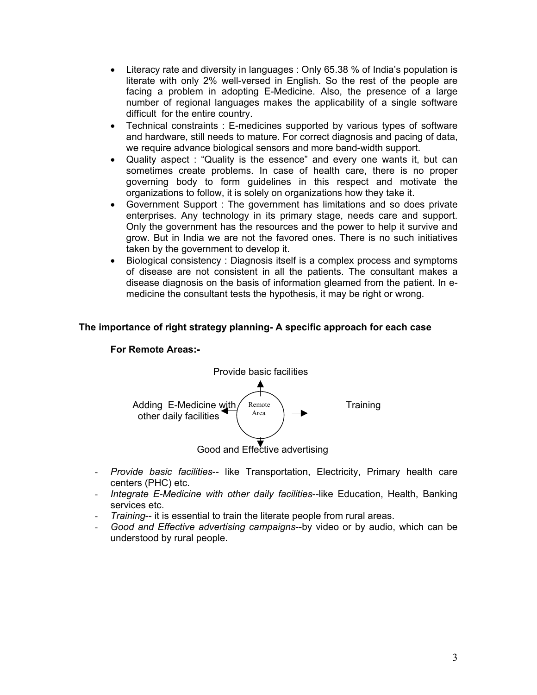- Literacy rate and diversity in languages : Only 65.38 % of India's population is literate with only 2% well-versed in English. So the rest of the people are facing a problem in adopting E-Medicine. Also, the presence of a large number of regional languages makes the applicability of a single software difficult for the entire country.
- Technical constraints : E-medicines supported by various types of software and hardware, still needs to mature. For correct diagnosis and pacing of data, we require advance biological sensors and more band-width support.
- Quality aspect : "Quality is the essence" and every one wants it, but can sometimes create problems. In case of health care, there is no proper governing body to form guidelines in this respect and motivate the organizations to follow, it is solely on organizations how they take it.
- Government Support : The government has limitations and so does private enterprises. Any technology in its primary stage, needs care and support. Only the government has the resources and the power to help it survive and grow. But in India we are not the favored ones. There is no such initiatives taken by the government to develop it.
- Biological consistency : Diagnosis itself is a complex process and symptoms of disease are not consistent in all the patients. The consultant makes a disease diagnosis on the basis of information gleamed from the patient. In emedicine the consultant tests the hypothesis, it may be right or wrong.

## **The importance of right strategy planning- A specific approach for each case**

#### **For Remote Areas:-**



- *Provide basic facilities*-- like Transportation, Electricity, Primary health care centers (PHC) etc.
- *Integrate E-Medicine with other daily facilities*--like Education, Health, Banking services etc.
- *Training*-- it is essential to train the literate people from rural areas.
- *Good and Effective advertising campaigns*--by video or by audio, which can be understood by rural people.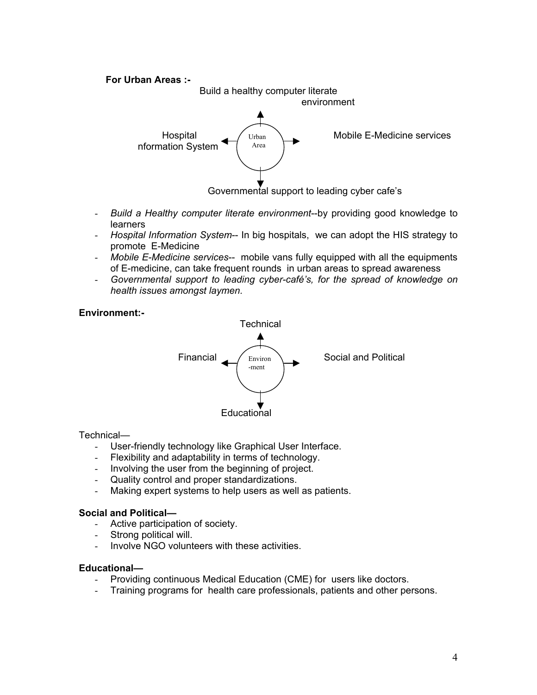# **For Urban Areas :-**  Build a healthy computer literate environment Hospital  $\bigcup$   $\bigcup$   $\bigcup$   $\bigcup$   $\bigcup$   $\bigcup$   $\bigcup$   $\bigcup$   $\bigcup$   $\bigcup$   $\bigcup$   $\bigcup$   $\bigcup$   $\bigcup$   $\bigcup$   $\bigcup$   $\bigcup$   $\bigcup$   $\bigcup$   $\bigcup$   $\bigcup$   $\bigcup$   $\bigcup$   $\bigcup$   $\bigcup$   $\bigcup$   $\bigcup$   $\bigcup$   $\bigcup$   $\bigcup$   $\bigcup$   $\bigcup$   $\bigcup$   $\bigcup$   $\bigcup$   $\$  nformation System Urban Area

Governmental support to leading cyber cafe's

- *Build a Healthy computer literate environment*--by providing good knowledge to learners
- *Hospital Information System*-- In big hospitals, we can adopt the HIS strategy to promote E-Medicine
- *Mobile E-Medicine services*-- mobile vans fully equipped with all the equipments of E-medicine, can take frequent rounds in urban areas to spread awareness
- *Governmental support to leading cyber-café's, for the spread of knowledge on health issues amongst laymen.*

# **Environment:-**



### Technical—

- User-friendly technology like Graphical User Interface.
- Flexibility and adaptability in terms of technology.
- Involving the user from the beginning of project.
- Quality control and proper standardizations.
- Making expert systems to help users as well as patients.

## **Social and Political—**

- Active participation of society.
- Strong political will.
- Involve NGO volunteers with these activities.

### **Educational—**

- Providing continuous Medical Education (CME) for users like doctors.
- Training programs for health care professionals, patients and other persons.